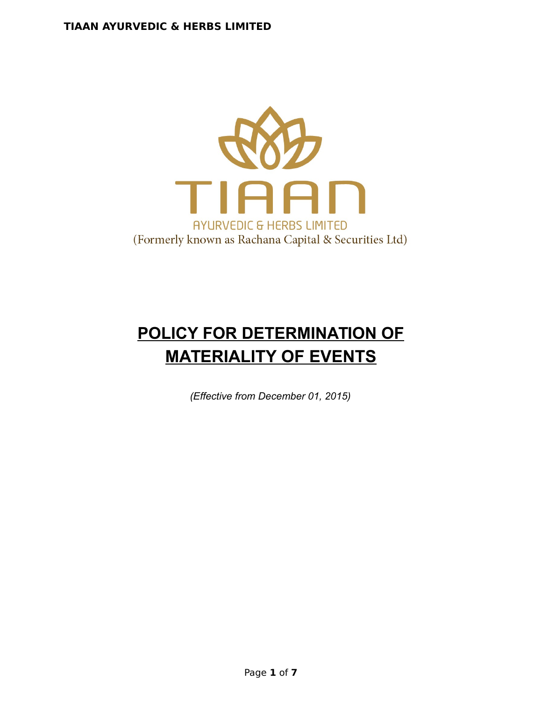

# **POLICY FOR DETERMINATION OF MATERIALITY OF EVENTS**

*(Effective from December 01, 2015)*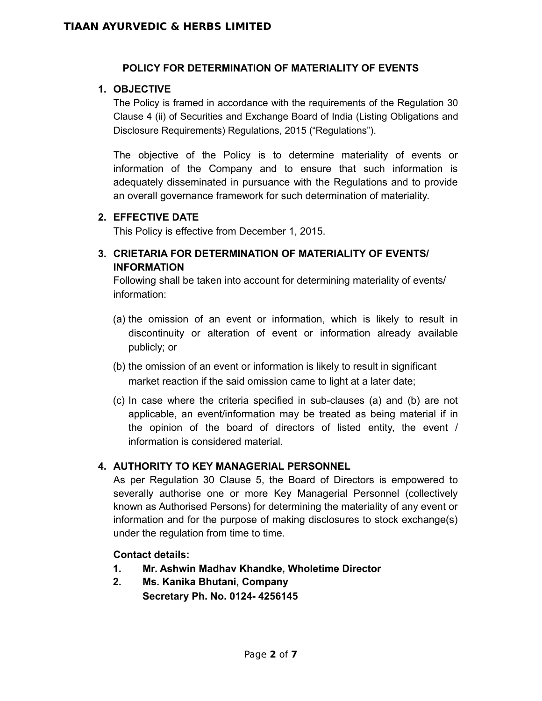#### **POLICY FOR DETERMINATION OF MATERIALITY OF EVENTS**

## **1. OBJECTIVE**

The Policy is framed in accordance with the requirements of the Regulation 30 Clause 4 (ii) of Securities and Exchange Board of India (Listing Obligations and Disclosure Requirements) Regulations, 2015 ("Regulations").

The objective of the Policy is to determine materiality of events or information of the Company and to ensure that such information is adequately disseminated in pursuance with the Regulations and to provide an overall governance framework for such determination of materiality.

#### **2. EFFECTIVE DATE**

This Policy is effective from December 1, 2015.

## **3. CRIETARIA FOR DETERMINATION OF MATERIALITY OF EVENTS/ INFORMATION**

Following shall be taken into account for determining materiality of events/ information:

- (a) the omission of an event or information, which is likely to result in discontinuity or alteration of event or information already available publicly; or
- (b) the omission of an event or information is likely to result in significant market reaction if the said omission came to light at a later date;
- (c) In case where the criteria specified in sub-clauses (a) and (b) are not applicable, an event/information may be treated as being material if in the opinion of the board of directors of listed entity, the event / information is considered material.

## **4. AUTHORITY TO KEY MANAGERIAL PERSONNEL**

As per Regulation 30 Clause 5, the Board of Directors is empowered to severally authorise one or more Key Managerial Personnel (collectively known as Authorised Persons) for determining the materiality of any event or information and for the purpose of making disclosures to stock exchange(s) under the regulation from time to time.

#### **Contact details:**

- **1. Mr. Ashwin Madhav Khandke, Wholetime Director**
- **2. Ms. Kanika Bhutani, Company Secretary Ph. No. 0124- 4256145**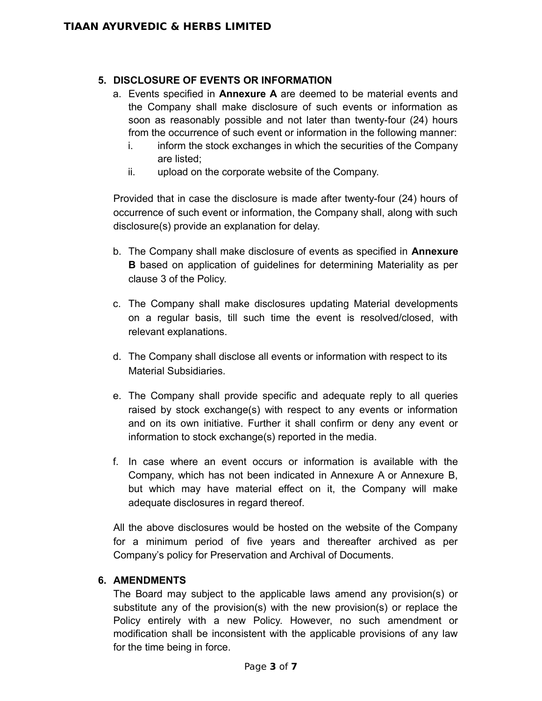#### **5. DISCLOSURE OF EVENTS OR INFORMATION**

- a. Events specified in **Annexure A** are deemed to be material events and the Company shall make disclosure of such events or information as soon as reasonably possible and not later than twenty-four (24) hours from the occurrence of such event or information in the following manner:
	- i. inform the stock exchanges in which the securities of the Company are listed;
	- ii. upload on the corporate website of the Company.

Provided that in case the disclosure is made after twenty-four (24) hours of occurrence of such event or information, the Company shall, along with such disclosure(s) provide an explanation for delay.

- b. The Company shall make disclosure of events as specified in **Annexure B** based on application of guidelines for determining Materiality as per clause 3 of the Policy.
- c. The Company shall make disclosures updating Material developments on a regular basis, till such time the event is resolved/closed, with relevant explanations.
- d. The Company shall disclose all events or information with respect to its Material Subsidiaries.
- e. The Company shall provide specific and adequate reply to all queries raised by stock exchange(s) with respect to any events or information and on its own initiative. Further it shall confirm or deny any event or information to stock exchange(s) reported in the media.
- f. In case where an event occurs or information is available with the Company, which has not been indicated in Annexure A or Annexure B, but which may have material effect on it, the Company will make adequate disclosures in regard thereof.

All the above disclosures would be hosted on the website of the Company for a minimum period of five years and thereafter archived as per Company's policy for Preservation and Archival of Documents.

#### **6. AMENDMENTS**

The Board may subject to the applicable laws amend any provision(s) or substitute any of the provision(s) with the new provision(s) or replace the Policy entirely with a new Policy. However, no such amendment or modification shall be inconsistent with the applicable provisions of any law for the time being in force.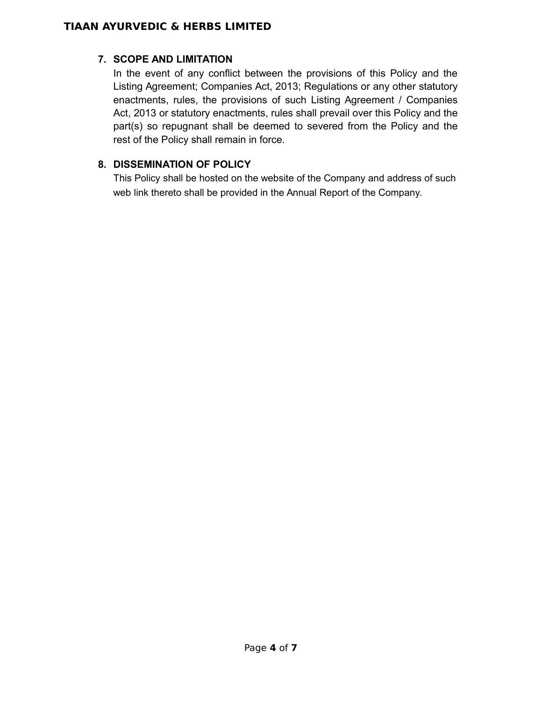## **TIAAN AYURVEDIC & HERBS LIMITED**

## **7. SCOPE AND LIMITATION**

In the event of any conflict between the provisions of this Policy and the Listing Agreement; Companies Act, 2013; Regulations or any other statutory enactments, rules, the provisions of such Listing Agreement / Companies Act, 2013 or statutory enactments, rules shall prevail over this Policy and the part(s) so repugnant shall be deemed to severed from the Policy and the rest of the Policy shall remain in force.

## **8. DISSEMINATION OF POLICY**

This Policy shall be hosted on the website of the Company and address of such web link thereto shall be provided in the Annual Report of the Company.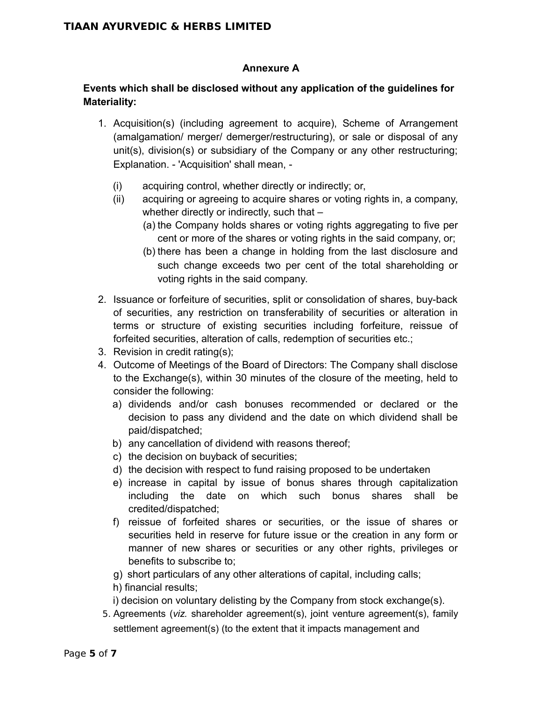#### **Annexure A**

## **Events which shall be disclosed without any application of the guidelines for Materiality:**

- 1. Acquisition(s) (including agreement to acquire), Scheme of Arrangement (amalgamation/ merger/ demerger/restructuring), or sale or disposal of any unit(s), division(s) or subsidiary of the Company or any other restructuring; Explanation. - 'Acquisition' shall mean, -
	- (i) acquiring control, whether directly or indirectly; or,
	- (ii) acquiring or agreeing to acquire shares or voting rights in, a company, whether directly or indirectly, such that –
		- (a) the Company holds shares or voting rights aggregating to five per cent or more of the shares or voting rights in the said company, or;
		- (b) there has been a change in holding from the last disclosure and such change exceeds two per cent of the total shareholding or voting rights in the said company.
- 2. Issuance or forfeiture of securities, split or consolidation of shares, buy-back of securities, any restriction on transferability of securities or alteration in terms or structure of existing securities including forfeiture, reissue of forfeited securities, alteration of calls, redemption of securities etc.;
- 3. Revision in credit rating(s);
- 4. Outcome of Meetings of the Board of Directors: The Company shall disclose to the Exchange(s), within 30 minutes of the closure of the meeting, held to consider the following:
	- a) dividends and/or cash bonuses recommended or declared or the decision to pass any dividend and the date on which dividend shall be paid/dispatched;
	- b) any cancellation of dividend with reasons thereof;
	- c) the decision on buyback of securities;
	- d) the decision with respect to fund raising proposed to be undertaken
	- e) increase in capital by issue of bonus shares through capitalization including the date on which such bonus shares shall be credited/dispatched;
	- f) reissue of forfeited shares or securities, or the issue of shares or securities held in reserve for future issue or the creation in any form or manner of new shares or securities or any other rights, privileges or benefits to subscribe to;
	- g) short particulars of any other alterations of capital, including calls;
	- h) financial results;
	- i) decision on voluntary delisting by the Company from stock exchange(s).
- 5. Agreements (*viz.* shareholder agreement(s), joint venture agreement(s), family settlement agreement(s) (to the extent that it impacts management and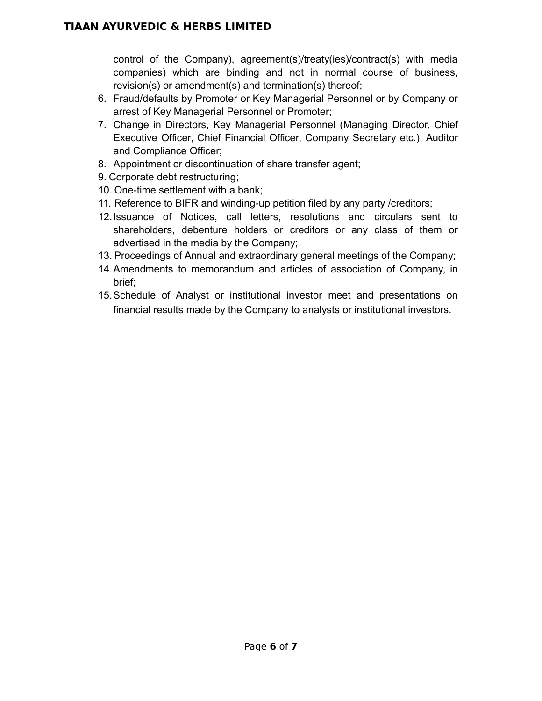control of the Company), agreement(s)/treaty(ies)/contract(s) with media companies) which are binding and not in normal course of business, revision(s) or amendment(s) and termination(s) thereof;

- 6. Fraud/defaults by Promoter or Key Managerial Personnel or by Company or arrest of Key Managerial Personnel or Promoter;
- 7. Change in Directors, Key Managerial Personnel (Managing Director, Chief Executive Officer, Chief Financial Officer, Company Secretary etc.), Auditor and Compliance Officer;
- 8. Appointment or discontinuation of share transfer agent;
- 9. Corporate debt restructuring;
- 10. One-time settlement with a bank;
- 11. Reference to BIFR and winding-up petition filed by any party /creditors;
- 12.Issuance of Notices, call letters, resolutions and circulars sent to shareholders, debenture holders or creditors or any class of them or advertised in the media by the Company;
- 13. Proceedings of Annual and extraordinary general meetings of the Company;
- 14.Amendments to memorandum and articles of association of Company, in brief;
- 15.Schedule of Analyst or institutional investor meet and presentations on financial results made by the Company to analysts or institutional investors.